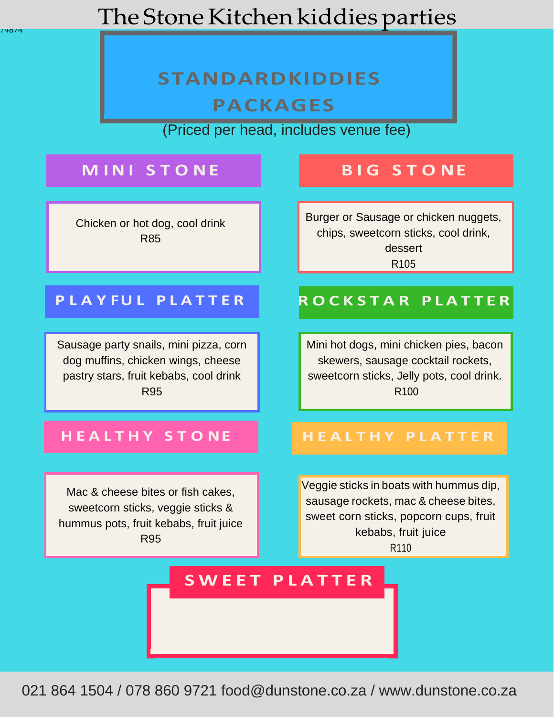## The Stone Kitchen kiddies parties

## **STANDARDKIDDIES PACKAGES**

(Priced per head, includes venue fee)

## **M IN I S T O NE B I G S T O NE**

74874

Chicken or hot dog, cool drink R85

Burger or Sausage or chicken nuggets, chips, sweetcorn sticks, cool drink, dessert R105

Sausage party snails, mini pizza, corn dog muffins, chicken wings, cheese pastry stars, fruit kebabs, cool drink R95

Mac & cheese bites or fish cakes, sweetcorn sticks, veggie sticks & hummus pots, fruit kebabs, fruit juice R95

### **P L A Y FU L P L A T T E R R O C K S T A R P L A T T E R**

Mini hot dogs, mini chicken pies, bacon skewers, sausage cocktail rockets, sweetcorn sticks, Jelly pots, cool drink. R100

### **H E A L T H Y S T O NE H E A L T H Y P L A T T E R**

Veggie sticks in boats with hummus dip, sausage rockets, mac & cheese bites, sweet corn sticks, popcorn cups, fruit kebabs, fruit juice R110

### **STANDARD STANDARD STANDARD STANDARD STANDARD STANDARD STANDARD STANDARD STANDARD STANDARD STANDARD STANDARD ST S W E E T P L A T T E R**

021 864 1504 / 078 860 9721 [food@dunstone.co.za /](mailto:food@dunstone.co.za) [www.dunstone.co.za](http://www.dunstone.co.za/)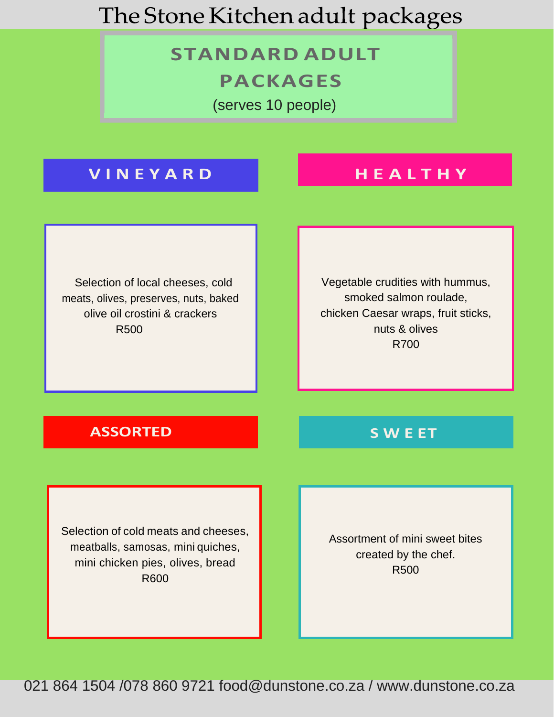## The Stone Kitchen adult packages

## **STANDARD ADULT PACKAGES**

(serves 10 people)

### **V I N E Y A R D H E A L T H Y**

Selection of local cheeses, cold meats, olives, preserves, nuts, baked olive oil crostini & crackers R500

Vegetable crudities with hummus, smoked salmon roulade, chicken Caesar wraps, fruit sticks, nuts & olives R700

### **ASSORTED S W E ET**

Selection of cold meats and cheeses, meatballs, samosas, mini quiches, mini chicken pies, olives, bread R600

Assortment of mini sweet bites created by the chef. R500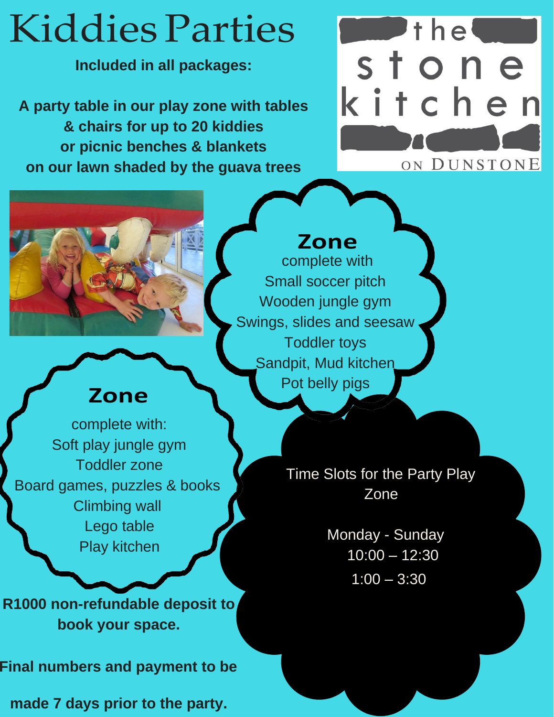# Kiddies Parties

**Included in all packages:**

**A party table in our play zone with tables & chairs for up to 20 kiddies or picnic benches & blankets on our lawn shaded by the guava trees**





## **Zone**

complete with Small soccer pitch Wooden jungle gym Swings, slides and seesaw Toddler toys Sandpit, Mud kitchen Pot belly pigs

## **Zone**

complete with: Soft play jungle gym Toddler zone Board games, puzzles & books Climbing wall Lego table Play kitchen

**R1000 non-refundable deposit to book your space.**

**Final numbers and payment to be**

**made 7 days prior to the party.**

Time Slots for the Party Play Zone

> Monday - Sunday 10:00 – 12:30  $1:00 - 3:30$